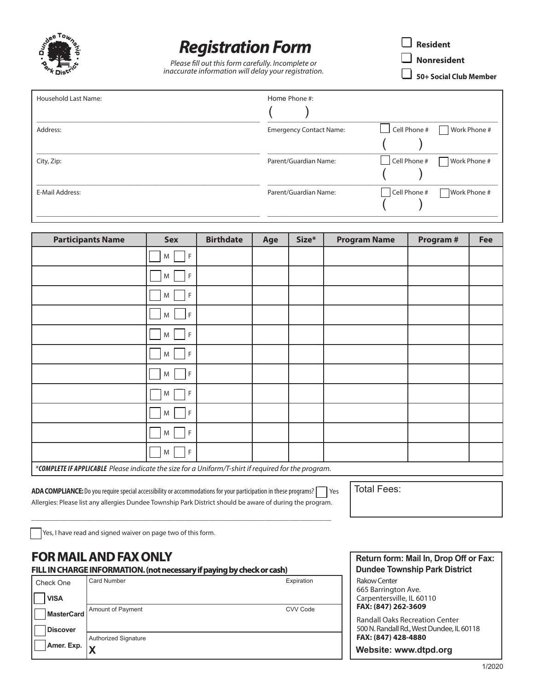

## *Registration Form*

*Please fill out this form carefully. Incomplete or inaccurate information will delay your registration.*  $\Box$  Resident q **Nonresident**

q **50+ Social Club Member**

| Household Last Name: | Home Phone #:                  |                                     |
|----------------------|--------------------------------|-------------------------------------|
| Address:             | <b>Emergency Contact Name:</b> | $\Box$ Cell Phone #<br>Work Phone # |
|                      |                                |                                     |
| City, Zip:           | Parent/Guardian Name:          | Cell Phone #<br>Work Phone #        |
|                      |                                |                                     |
| E-Mail Address:      | Parent/Guardian Name:          | Cell Phone #<br>Work Phone #        |
|                      |                                |                                     |

| <b>Participants Name</b>                                                                            | <b>Sex</b>        | <b>Birthdate</b> | Age | Size* | <b>Program Name</b> | Program # | Fee |
|-----------------------------------------------------------------------------------------------------|-------------------|------------------|-----|-------|---------------------|-----------|-----|
|                                                                                                     | F <br>M           |                  |     |       |                     |           |     |
|                                                                                                     | F<br>M            |                  |     |       |                     |           |     |
|                                                                                                     | F<br>M            |                  |     |       |                     |           |     |
|                                                                                                     | E<br>M            |                  |     |       |                     |           |     |
|                                                                                                     | F<br>M            |                  |     |       |                     |           |     |
|                                                                                                     | F<br>M            |                  |     |       |                     |           |     |
|                                                                                                     | F<br>M            |                  |     |       |                     |           |     |
|                                                                                                     | F<br>M            |                  |     |       |                     |           |     |
|                                                                                                     | F<br>M            |                  |     |       |                     |           |     |
|                                                                                                     | $\mathsf{F}$<br>M |                  |     |       |                     |           |     |
|                                                                                                     | $\mathsf{F}$<br>M |                  |     |       |                     |           |     |
| *COMPLETE IF APPLICABLE Please indicate the size for a Uniform/T-shirt if required for the program. |                   |                  |     |       |                     |           |     |

ADA COMPLIANCE: Do you require special accessibility or accommodations for your participation in these programs? **q** Yes Allergies: Please list any allergies Dundee Township Park District should be aware of during the program.

\_\_\_\_\_\_\_\_\_\_\_\_\_\_\_\_\_\_\_\_\_\_\_\_\_\_\_\_\_\_\_\_\_\_\_\_\_\_\_\_\_\_\_\_\_\_\_\_\_\_\_\_\_\_\_\_\_\_\_\_\_\_\_\_\_\_\_\_\_\_\_\_\_\_\_\_\_\_\_\_\_\_\_\_\_\_

Total Fees:

Yes, I have read and signed waiver on page two of this form.

## **FOR MAIL AND FAX ONLY**

**FILL IN CHARGE INFORMATION. (not necessary if paying by check or cash)** Dundee Township Park District

| Check One         | <b>Card Number</b><br>Expiration |  |
|-------------------|----------------------------------|--|
| <b>VISA</b>       |                                  |  |
| <b>MasterCard</b> | Amount of Payment<br>CVV Code    |  |
| <b>Discover</b>   |                                  |  |
|                   | <b>Authorized Signature</b>      |  |
| Amer. Exp.        | lv                               |  |

**Return form: Mail In, Drop Off or Fax:** Rakow Center 665 Barrington Ave. Carpentersville, IL 60110 **FAX: (847) 262-3609** Randall Oaks Recreation Center

500 N. Randall Rd., West Dundee, IL 60118 **FAX: (847) 428-4880**

**Website: www.dtpd.org**